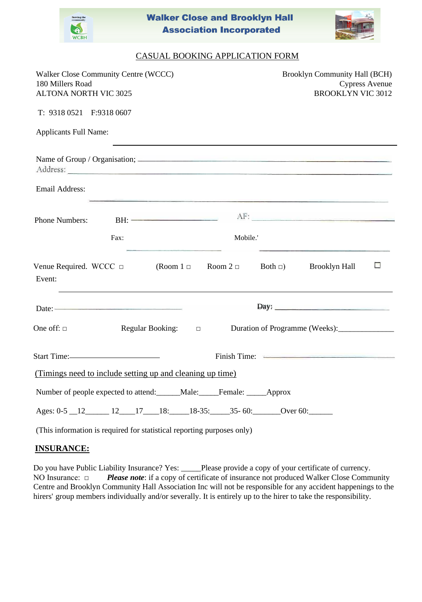

**Walker Close and Brooklyn Hall Association Incorporated** 



## CASUAL BOOKING APPLICATION FORM

| Walker Close Community Centre (WCCC)<br>180 Millers Road<br><b>ALTONA NORTH VIC 3025</b> |                                                                                                                                                             |                            |          |  | <b>Brooklyn Community Hall (BCH)</b><br><b>Cypress Avenue</b><br><b>BROOKLYN VIC 3012</b> |                          |  |
|------------------------------------------------------------------------------------------|-------------------------------------------------------------------------------------------------------------------------------------------------------------|----------------------------|----------|--|-------------------------------------------------------------------------------------------|--------------------------|--|
| T: 9318 0521  F:9318 0607                                                                |                                                                                                                                                             |                            |          |  |                                                                                           |                          |  |
| <b>Applicants Full Name:</b>                                                             |                                                                                                                                                             |                            |          |  |                                                                                           |                          |  |
|                                                                                          |                                                                                                                                                             |                            |          |  |                                                                                           |                          |  |
| Email Address:                                                                           |                                                                                                                                                             |                            |          |  | <u> 1989 - Andrej Santon Andrej Santon (h. 1989)</u>                                      |                          |  |
| Phone Numbers:                                                                           | BH:                                                                                                                                                         |                            |          |  | AF:                                                                                       |                          |  |
|                                                                                          | Fax:                                                                                                                                                        |                            | Mobile.' |  |                                                                                           |                          |  |
| Event:                                                                                   | Venue Required. WCCC $\Box$ (Room $1 \Box$ Room $2 \Box$ Both $\Box$ ) Brooklyn Hall<br><u> 1989 - Andrea Stadt Britain, amerikansk politiker (d. 1989)</u> |                            |          |  |                                                                                           | $\overline{\phantom{a}}$ |  |
|                                                                                          |                                                                                                                                                             |                            |          |  | Day: <u>_____________________________</u>                                                 |                          |  |
| One off: $\square$                                                                       |                                                                                                                                                             | Regular Booking: $\square$ |          |  | Duration of Programme (Weeks):                                                            |                          |  |
|                                                                                          | Start Time:                                                                                                                                                 |                            |          |  |                                                                                           |                          |  |
|                                                                                          | (Timings need to include setting up and cleaning up time).                                                                                                  |                            |          |  |                                                                                           |                          |  |
| Number of people expected to attend: ______Male: _____Female: _____Approx                |                                                                                                                                                             |                            |          |  |                                                                                           |                          |  |
|                                                                                          | Ages: 0-5 12 12 17 18: 18-35: 35-60: Over 60:                                                                                                               |                            |          |  |                                                                                           |                          |  |

(This information is required for statistical reporting purposes only)

## **INSURANCE:**

Do you have Public Liability Insurance? Yes: \_\_\_\_\_Please provide a copy of your certificate of currency. NO Insurance: □ *Please note*: if a copy of certificate of insurance not produced Walker Close Community Centre and Brooklyn Community Hall Association Inc will not be responsible for any accident happenings to the hirers' group members individually and/or severally. It is entirely up to the hirer to take the responsibility.